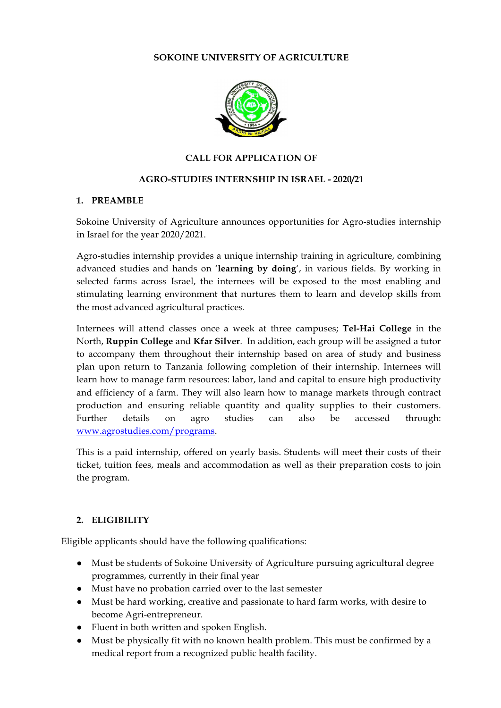# **SOKOINE UNIVERSITY OF AGRICULTURE**



### **CALL FOR APPLICATION OF**

# **AGRO-STUDIES INTERNSHIP IN ISRAEL - 2020/21**

#### **1. PREAMBLE**

Sokoine University of Agriculture announces opportunities for Agro-studies internship in Israel for the year 2020/2021.

Agro-studies internship provides a unique internship training in agriculture, combining advanced studies and hands on '**learning by doing**', in various fields. By working in selected farms across Israel, the internees will be exposed to the most enabling and stimulating learning environment that nurtures them to learn and develop skills from the most advanced agricultural practices.

Internees will attend classes once a week at three campuses; **Tel-Hai College** in the North, **Ruppin College** and **Kfar Silver**. In addition, each group will be assigned a tutor to accompany them throughout their internship based on area of study and business plan upon return to Tanzania following completion of their internship. Internees will learn how to manage farm resources: labor, land and capital to ensure high productivity and efficiency of a farm. They will also learn how to manage markets through contract production and ensuring reliable quantity and quality supplies to their customers. Further details on agro studies can also be accessed through: www.agrostudies.com/programs.

This is a paid internship, offered on yearly basis. Students will meet their costs of their ticket, tuition fees, meals and accommodation as well as their preparation costs to join the program.

#### **2. ELIGIBILITY**

Eligible applicants should have the following qualifications:

- Must be students of Sokoine University of Agriculture pursuing agricultural degree programmes, currently in their final year
- Must have no probation carried over to the last semester
- Must be hard working, creative and passionate to hard farm works, with desire to become Agri-entrepreneur.
- Fluent in both written and spoken English.
- Must be physically fit with no known health problem. This must be confirmed by a medical report from a recognized public health facility.